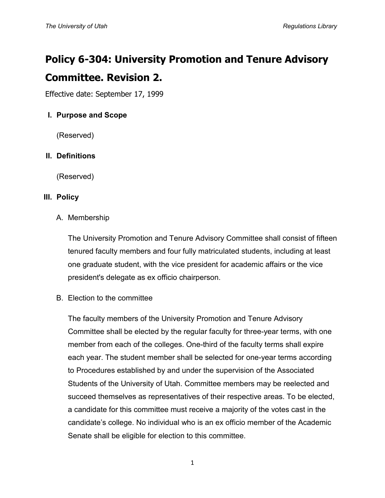# **Policy 6-304: University Promotion and Tenure Advisory Committee. Revision 2.**

Effective date: September 17, 1999

# **I. Purpose and Scope**

(Reserved)

# **II. Definitions**

(Reserved)

## **III. Policy**

## A. Membership

The University Promotion and Tenure Advisory Committee shall consist of fifteen tenured faculty members and four fully matriculated students, including at least one graduate student, with the vice president for academic affairs or the vice president's delegate as ex officio chairperson.

B. Election to the committee

The faculty members of the University Promotion and Tenure Advisory Committee shall be elected by the regular faculty for three-year terms, with one member from each of the colleges. One-third of the faculty terms shall expire each year. The student member shall be selected for one-year terms according to Procedures established by and under the supervision of the Associated Students of the University of Utah. Committee members may be reelected and succeed themselves as representatives of their respective areas. To be elected, a candidate for this committee must receive a majority of the votes cast in the candidate's college. No individual who is an ex officio member of the Academic Senate shall be eligible for election to this committee.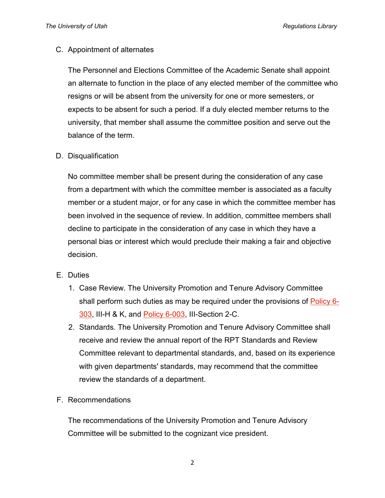#### C. Appointment of alternates

The Personnel and Elections Committee of the Academic Senate shall appoint an alternate to function in the place of any elected member of the committee who resigns or will be absent from the university for one or more semesters, or expects to be absent for such a period. If a duly elected member returns to the university, that member shall assume the committee position and serve out the balance of the term.

#### D. Disqualification

No committee member shall be present during the consideration of any case from a department with which the committee member is associated as a faculty member or a student major, or for any case in which the committee member has been involved in the sequence of review. In addition, committee members shall decline to participate in the consideration of any case in which they have a personal bias or interest which would preclude their making a fair and objective decision.

#### E. Duties

- 1. Case Review. The University Promotion and Tenure Advisory Committee shall perform such duties as may be required under the provisions of [Policy 6-](http://regulations.utah.edu/academics/6-303.php) [303,](http://regulations.utah.edu/academics/6-303.php) III-H & K, and [Policy 6-003,](http://regulations.utah.edu/academics/6-003.php) III-Section 2-C.
- 2. Standards. The University Promotion and Tenure Advisory Committee shall receive and review the annual report of the RPT Standards and Review Committee relevant to departmental standards, and, based on its experience with given departments' standards, may recommend that the committee review the standards of a department.

# F. Recommendations

The recommendations of the University Promotion and Tenure Advisory Committee will be submitted to the cognizant vice president.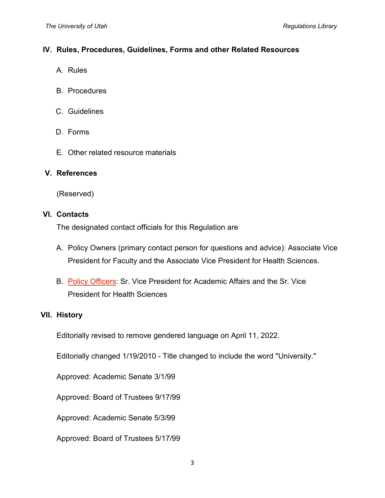## **IV. Rules, Procedures, Guidelines, Forms and other Related Resources**

- A. Rules
- B. Procedures
- C. Guidelines
- D. Forms
- E. Other related resource materials

#### **V. References**

(Reserved)

#### **VI. Contacts**

The designated contact officials for this Regulation are

- A. Policy Owners (primary contact person for questions and advice): Associate Vice President for Faculty and the Associate Vice President for Health Sciences.
- B. [Policy Officers:](http://regulations.utah.edu/info/index.php) Sr. Vice President for Academic Affairs and the Sr. Vice President for Health Sciences

# **VII. History**

Editorially revised to remove gendered language on April 11, 2022.

Editorially changed 1/19/2010 - Title changed to include the word "University."

Approved: Academic Senate 3/1/99

Approved: Board of Trustees 9/17/99

Approved: Academic Senate 5/3/99

Approved: Board of Trustees 5/17/99